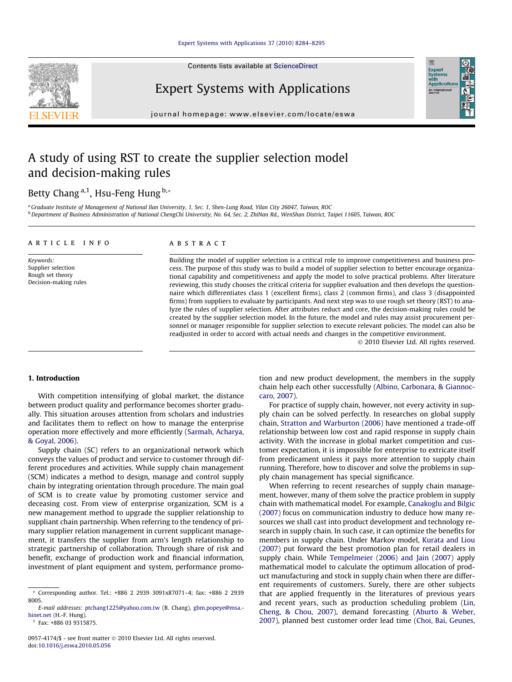## [Expert Systems with Applications 37 \(2010\) 8284–8295](http://dx.doi.org/10.1016/j.eswa.2010.05.056)

Contents lists available at [ScienceDirect](http://www.sciencedirect.com/science/journal/09574174)

Expert Systems with Applications

journal homepage: [www.elsevier.com/locate/eswa](http://www.elsevier.com/locate/eswa)



# A study of using RST to create the supplier selection model and decision-making rules

# Betty Chang<sup>a,1</sup>, Hsu-Feng Hung<sup>b,\*</sup>

a Graduate Institute of Management of National Ilan University, 1, Sec. 1, Shen-Lung Road, Yilan City 26047, Taiwan, ROC <sup>b</sup> Department of Business Administration of National ChengChi University, No. 64, Sec. 2, ZhiNan Rd., WenShan District, Taipei 11605, Taiwan, ROC

#### article info

Keywords: Supplier selection Rough set theory Decision-making rules

#### ABSTRACT

Building the model of supplier selection is a critical role to improve competitiveness and business process. The purpose of this study was to build a model of supplier selection to better encourage organizational capability and competitiveness and apply the model to solve practical problems. After literature reviewing, this study chooses the critical criteria for supplier evaluation and then develops the questionnaire which differentiates class 1 (excellent firms), class 2 (common firms), and class 3 (disappointed firms) from suppliers to evaluate by participants. And next step was to use rough set theory (RST) to analyze the rules of supplier selection. After attributes reduct and core, the decision-making rules could be created by the supplier selection model. In the future, the model and rules may assist procurement personnel or manager responsible for supplier selection to execute relevant policies. The model can also be readjusted in order to accord with actual needs and changes in the competitive environment.

- 2010 Elsevier Ltd. All rights reserved.

# 1. Introduction

With competition intensifying of global market, the distance between product quality and performance becomes shorter gradually. This situation arouses attention from scholars and industries and facilitates them to reflect on how to manage the enterprise operation more effectively and more efficiently [\(Sarmah, Acharya,](#page--1-0) [& Goyal, 2006](#page--1-0)).

Supply chain (SC) refers to an organizational network which conveys the values of product and service to customer through different procedures and activities. While supply chain management (SCM) indicates a method to design, manage and control supply chain by integrating orientation through procedure. The main goal of SCM is to create value by promoting customer service and deceasing cost. From view of enterprise organization, SCM is a new management method to upgrade the supplier relationship to suppliant chain partnership. When referring to the tendency of primary supplier relation management in current supplicant management, it transfers the supplier from arm's length relationship to strategic partnership of collaboration. Through share of risk and benefit, exchange of production work and financial information, investment of plant equipment and system, performance promotion and new product development, the members in the supply chain help each other successfully ([Albino, Carbonara, & Giannoc](#page--1-0)[caro, 2007](#page--1-0)).

For practice of supply chain, however, not every activity in supply chain can be solved perfectly. In researches on global supply chain, [Stratton and Warburton \(2006\)](#page--1-0) have mentioned a trade-off relationship between low cost and rapid response in supply chain activity. With the increase in global market competition and customer expectation, it is impossible for enterprise to extricate itself from predicament unless it pays more attention to supply chain running. Therefore, how to discover and solve the problems in supply chain management has special significance.

When referring to recent researches of supply chain management, however, many of them solve the practice problem in supply chain with mathematical model. For example, [Canakoglu and Bilgic](#page--1-0) [\(2007\)](#page--1-0) focus on communication industry to deduce how many resources we shall cast into product development and technology research in supply chain. In such case, it can optimize the benefits for members in supply chain. Under Markov model, [Kurata and Liou](#page--1-0) [\(2007\)](#page--1-0) put forward the best promotion plan for retail dealers in supply chain. While [Tempelmeier \(2006\) and Jain \(2007\)](#page--1-0) apply mathematical model to calculate the optimum allocation of product manufacturing and stock in supply chain when there are different requirements of customers. Surely, there are other subjects that are applied frequently in the literatures of previous years and recent years, such as production scheduling problem [\(Lin,](#page--1-0) [Cheng, & Chou, 2007](#page--1-0)), demand forecasting ([Aburto & Weber,](#page--1-0) [2007\)](#page--1-0), planned best customer order lead time ([Choi, Bai, Geunes,](#page--1-0)

<sup>\*</sup> Corresponding author. Tel.: +886 2 2939 3091x87071–4; fax: +886 2 2939 8005.

E-mail addresses: [ptchang1225@yahoo.com.tw](mailto:ptchang1225@yahoo.com.tw) (B. Chang), [gbm.popeye@msa.](mailto:gbm.popeye@msa.hinet.net) [hinet.net](mailto:gbm.popeye@msa.hinet.net) (H.-F. Hung).

<sup>1</sup> Fax: +886 03 9315875.

<sup>0957-4174/\$ -</sup> see front matter © 2010 Elsevier Ltd. All rights reserved. doi:[10.1016/j.eswa.2010.05.056](http://dx.doi.org/10.1016/j.eswa.2010.05.056)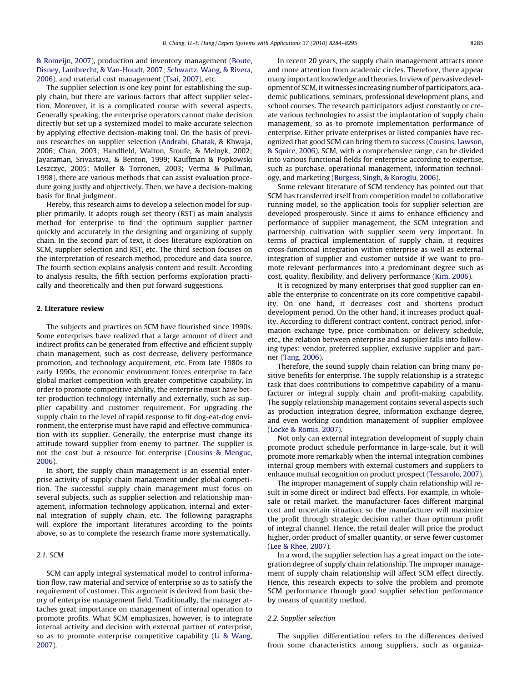[& Romeijn, 2007](#page--1-0)), production and inventory management ([Boute,](#page--1-0) [Disney, Lambrecht, & Van-Houdt, 2007; Schwartz, Wang, & Rivera,](#page--1-0) [2006](#page--1-0)), and material cost management [\(Tsai, 2007](#page--1-0)), etc.

The supplier selection is one key point for establishing the supply chain, but there are various factors that affect supplier selection. Moreover, it is a complicated course with several aspects. Generally speaking, the enterprise operators cannot make decision directly but set up a systemized model to make accurate selection by applying effective decision-making tool. On the basis of previous researches on supplier selection [\(Andrabi, Ghatak,](#page--1-0) & Khwaja, 2006; Chan, 2003; Handfield, Walton, Sroufe, & Melnyk, 2002; Jayaraman, Srivastava, & Benton, 1999; Kauffman & Popkowski Leszczyc, 2005; Moller & Torronen, 2003; Verma & Pullman, 1998), there are various methods that can assist evaluation procedure going justly and objectively. Then, we have a decision-making basis for final judgment.

Hereby, this research aims to develop a selection model for supplier primarily. It adopts rough set theory (RST) as main analysis method for enterprise to find the optimum supplier partner quickly and accurately in the designing and organizing of supply chain. In the second part of text, it does literature exploration on SCM, supplier selection and RST, etc. The third section focuses on the interpretation of research method, procedure and data source. The fourth section explains analysis content and result. According to analysis results, the fifth section performs exploration practically and theoretically and then put forward suggestions.

### 2. Literature review

The subjects and practices on SCM have flourished since 1990s. Some enterprises have realized that a large amount of direct and indirect profits can be generated from effective and efficient supply chain management, such as cost decrease, delivery performance promotion, and technology acquirement, etc. From late 1980s to early 1990s, the economic environment forces enterprise to face global market competition with greater competitive capability. In order to promote competitive ability, the enterprise must have better production technology internally and externally, such as supplier capability and customer requirement. For upgrading the supply chain to the level of rapid response to fit dog-eat-dog environment, the enterprise must have rapid and effective communication with its supplier. Generally, the enterprise must change its attitude toward supplier from enemy to partner. The supplier is not the cost but a resource for enterprise [\(Cousins & Menguc,](#page--1-0) [2006](#page--1-0)).

In short, the supply chain management is an essential enterprise activity of supply chain management under global competition. The successful supply chain management must focus on several subjects, such as supplier selection and relationship management, information technology application, internal and external integration of supply chain, etc. The following paragraphs will explore the important literatures according to the points above, so as to complete the research frame more systematically.

# 2.1. SCM

SCM can apply integral systematical model to control information flow, raw material and service of enterprise so as to satisfy the requirement of customer. This argument is derived from basic theory of enterprise management field. Traditionally, the manager attaches great importance on management of internal operation to promote profits. What SCM emphasizes, however, is to integrate internal activity and decision with external partner of enterprise, so as to promote enterprise competitive capability [\(Li & Wang,](#page--1-0) [2007](#page--1-0)).

In recent 20 years, the supply chain management attracts more and more attention from academic circles. Therefore, there appear many important knowledge and theories. In view of pervasive development of SCM, it witnesses increasing number of participators, academic publications, seminars, professional development plans, and school courses. The research participators adjust constantly or create various technologies to assist the implantation of supply chain management, so as to promote implementation performance of enterprise. Either private enterprises or listed companies have recognized that good SCM can bring them to success [\(Cousins, Lawson,](#page--1-0) [& Squire, 2006\)](#page--1-0). SCM, with a comprehensive range, can be divided into various functional fields for enterprise according to expertise, such as purchase, operational management, information technology, and marketing [\(Burgess, Singh, & Koroglu, 2006](#page--1-0)).

Some relevant literature of SCM tendency has pointed out that SCM has transferred itself from competition model to collaborative running model, so the application tools for supplier selection are developed prosperously. Since it aims to enhance efficiency and performance of supplier management, the SCM integration and partnership cultivation with supplier seem very important. In terms of practical implementation of supply chain, it requires cross-functional integration within enterprise as well as external integration of supplier and customer outside if we want to promote relevant performances into a predominant degree such as cost, quality, flexibility, and delivery performance [\(Kim, 2006](#page--1-0)).

It is recognized by many enterprises that good supplier can enable the enterprise to concentrate on its core competitive capability. On one hand, it decreases cost and shortens product development period. On the other hand, it increases product quality. According to different contract content, contract period, information exchange type, price combination, or delivery schedule, etc., the relation between enterprise and supplier falls into following types: vendor, preferred supplier, exclusive supplier and partner ([Tang, 2006](#page--1-0)).

Therefore, the sound supply chain relation can bring many positive benefits for enterprise. The supply relationship is a strategic task that does contributions to competitive capability of a manufacturer or integral supply chain and profit-making capability. The supply relationship management contains several aspects such as production integration degree, information exchange degree, and even working condition management of supplier employee ([Locke & Romis, 2007\)](#page--1-0).

Not only can external integration development of supply chain promote product schedule performance in large-scale, but it will promote more remarkably when the internal integration combines internal group members with external customers and suppliers to enhance mutual recognition on product prospect ([Tessarolo, 2007\)](#page--1-0).

The improper management of supply chain relationship will result in some direct or indirect bad effects. For example, in wholesale or retail market, the manufacturer faces different marginal cost and uncertain situation, so the manufacturer will maximize the profit through strategic decision rather than optimum profit of integral channel. Hence, the retail dealer will price the product higher, order product of smaller quantity, or serve fewer customer ([Lee & Rhee, 2007](#page--1-0)).

In a word, the supplier selection has a great impact on the integration degree of supply chain relationship. The improper management of supply chain relationship will affect SCM effect directly. Hence, this research expects to solve the problem and promote SCM performance through good supplier selection performance by means of quantity method.

#### 2.2. Supplier selection

The supplier differentiation refers to the differences derived from some characteristics among suppliers, such as organiza-